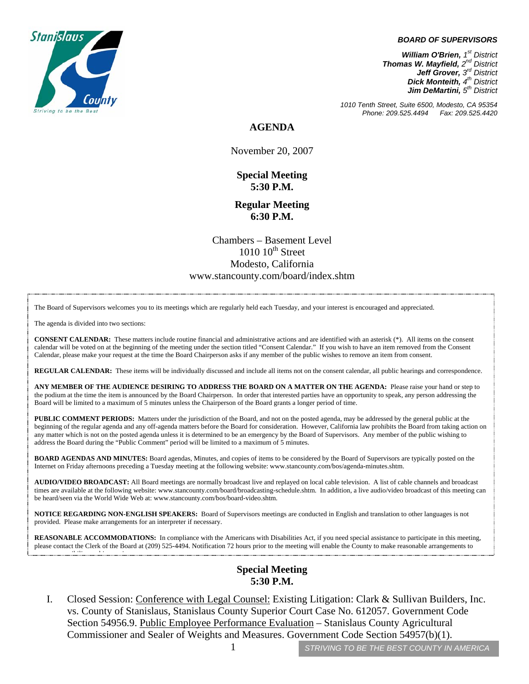## *BOARD OF SUPERVISORS*



*1010 Tenth Street, Suite 6500, Modesto, CA 95354 Phone: 209.525.4494 Fax: 209.525.4420* 

**AGENDA** 

November 20, 2007

**Special Meeting 5:30 P.M.** 

**Regular Meeting 6:30 P.M.**

Chambers – Basement Level  $1010~10$ <sup>th</sup> Street Modesto, California www.stancounty.com/board/index.shtm

The Board of Supervisors welcomes you to its meetings which are regularly held each Tuesday, and your interest is encouraged and appreciated.

The agenda is divided into two sections:

ibili hi ibili hima bashka ka shekara ta 1980 na shekara ta 1980 na shekara ta 1980 na shekara ta 1980 na shek<br>Isaacada

**CONSENT CALENDAR:** These matters include routine financial and administrative actions and are identified with an asterisk (\*). All items on the consent calendar will be voted on at the beginning of the meeting under the section titled "Consent Calendar." If you wish to have an item removed from the Consent Calendar, please make your request at the time the Board Chairperson asks if any member of the public wishes to remove an item from consent.

**REGULAR CALENDAR:** These items will be individually discussed and include all items not on the consent calendar, all public hearings and correspondence.

**ANY MEMBER OF THE AUDIENCE DESIRING TO ADDRESS THE BOARD ON A MATTER ON THE AGENDA:** Please raise your hand or step to the podium at the time the item is announced by the Board Chairperson. In order that interested parties have an opportunity to speak, any person addressing the Board will be limited to a maximum of 5 minutes unless the Chairperson of the Board grants a longer period of time.

**PUBLIC COMMENT PERIODS:** Matters under the jurisdiction of the Board, and not on the posted agenda, may be addressed by the general public at the beginning of the regular agenda and any off-agenda matters before the Board for consideration. However, California law prohibits the Board from taking action on any matter which is not on the posted agenda unless it is determined to be an emergency by the Board of Supervisors. Any member of the public wishing to address the Board during the "Public Comment" period will be limited to a maximum of 5 minutes.

**BOARD AGENDAS AND MINUTES:** Board agendas, Minutes, and copies of items to be considered by the Board of Supervisors are typically posted on the Internet on Friday afternoons preceding a Tuesday meeting at the following website: www.stancounty.com/bos/agenda-minutes.shtm.

**AUDIO/VIDEO BROADCAST:** All Board meetings are normally broadcast live and replayed on local cable television. A list of cable channels and broadcast times are available at the following website: www.stancounty.com/board/broadcasting-schedule.shtm. In addition, a live audio/video broadcast of this meeting can be heard/seen via the World Wide Web at: www.stancounty.com/bos/board-video.shtm.

**NOTICE REGARDING NON-ENGLISH SPEAKERS:** Board of Supervisors meetings are conducted in English and translation to other languages is not provided. Please make arrangements for an interpreter if necessary.

REASONABLE ACCOMMODATIONS: In compliance with the Americans with Disabilities Act, if you need special assistance to participate in this meeting, please contact the Clerk of the Board at (209) 525-4494. Notification 72 hours prior to the meeting will enable the County to make reasonable arrangements to

## **Special Meeting 5:30 P.M.**

I. Closed Session: Conference with Legal Counsel: Existing Litigation: Clark & Sullivan Builders, Inc. vs. County of Stanislaus, Stanislaus County Superior Court Case No. 612057. Government Code Section 54956.9. Public Employee Performance Evaluation – Stanislaus County Agricultural Commissioner and Sealer of Weights and Measures. Government Code Section 54957(b)(1).

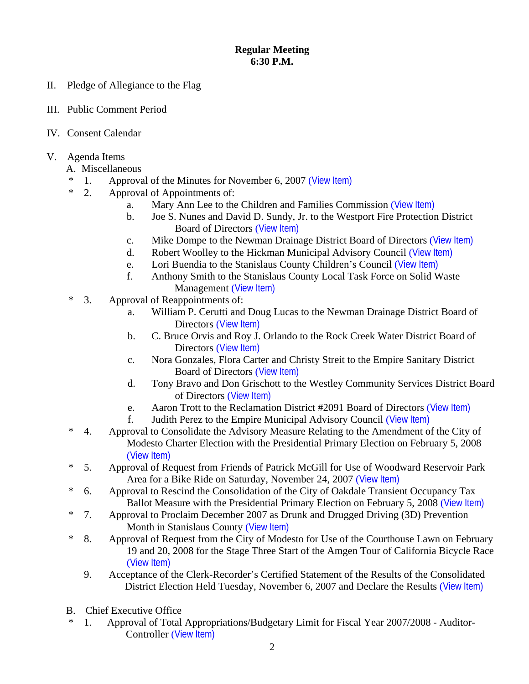## **Regular Meeting 6:30 P.M.**

- II. Pledge of Allegiance to the Flag
- III. Public Comment Period
- IV. Consent Calendar
- V. Agenda Items
	- A. Miscellaneous
	- \* 1. Approval of the Minutes for November 6, 2007 ([View Item\)](http://www.stancounty.com/bos/minutes/2007/min11-06-07.pdf)
	- \* 2. Approval of Appointments of:
		- a. Mary Ann Lee to the Children and Families Commission ([View Item\)](http://www.stancounty.com/bos/agenda/2007/20071120/A02a.pdf)
		- b. Joe S. Nunes and David D. Sundy, Jr. to the Westport Fire Protection District Board of Directors ([View Item\)](http://www.stancounty.com/bos/agenda/2007/20071120/A02b.pdf)
		- c. Mike Dompe to the Newman Drainage District Board of Directors ([View Item\)](http://www.stancounty.com/bos/agenda/2007/20071120/A02c.pdf)
		- d. Robert Woolley to the Hickman Municipal Advisory Council ([View Item\)](http://www.stancounty.com/bos/agenda/2007/20071120/A02d.pdf)
		- e. Lori Buendia to the Stanislaus County Children's Council ([View Item\)](http://www.stancounty.com/bos/agenda/2007/20071120/A02e.pdf)
		- f. Anthony Smith to the Stanislaus County Local Task Force on Solid Waste Management ([View Item\)](http://www.stancounty.com/bos/agenda/2007/20071120/A02f.pdf)
	- \* 3. Approval of Reappointments of:
		- a. William P. Cerutti and Doug Lucas to the Newman Drainage District Board of Directors ([View Item\)](http://www.stancounty.com/bos/agenda/2007/20071120/A03a.pdf)
		- b. C. Bruce Orvis and Roy J. Orlando to the Rock Creek Water District Board of Directors ([View Item\)](http://www.stancounty.com/bos/agenda/2007/20071120/A03b.pdf)
		- c. Nora Gonzales, Flora Carter and Christy Streit to the Empire Sanitary District Board of Directors ([View Item\)](http://www.stancounty.com/bos/agenda/2007/20071120/A03c.pdf)
		- d. Tony Bravo and Don Grischott to the Westley Community Services District Board of Directors ([View Item\)](http://www.stancounty.com/bos/agenda/2007/20071120/A03d.pdf)
		- e. Aaron Trott to the Reclamation District #2091 Board of Directors ([View Item\)](http://www.stancounty.com/bos/agenda/2007/20071120/A03e.pdf)
		- f. Judith Perez to the Empire Municipal Advisory Council ([View Item\)](http://www.stancounty.com/bos/agenda/2007/20071120/A03f.pdf)
	- \* 4. Approval to Consolidate the Advisory Measure Relating to the Amendment of the City of Modesto Charter Election with the Presidential Primary Election on February 5, 2008 ([View Item\)](http://www.stancounty.com/bos/agenda/2007/20071120/A04.pdf)
	- \* 5. Approval of Request from Friends of Patrick McGill for Use of Woodward Reservoir Park Area for a Bike Ride on Saturday, November 24, 2007 ([View Item\)](http://www.stancounty.com/bos/agenda/2007/20071120/A05.pdf)
	- \* 6. Approval to Rescind the Consolidation of the City of Oakdale Transient Occupancy Tax Ballot Measure with the Presidential Primary Election on February 5, 2008 ([View Item\)](http://www.stancounty.com/bos/agenda/2007/20071120/A06.pdf)
	- \* 7. Approval to Proclaim December 2007 as Drunk and Drugged Driving (3D) Prevention Month in Stanislaus County ([View Item\)](http://www.stancounty.com/bos/agenda/2007/20071120/A07.pdf)
	- \* 8. Approval of Request from the City of Modesto for Use of the Courthouse Lawn on February 19 and 20, 2008 for the Stage Three Start of the Amgen Tour of California Bicycle Race ([View Item\)](http://www.stancounty.com/bos/agenda/2007/20071120/A08.pdf)
		- 9. Acceptance of the Clerk-Recorder's Certified Statement of the Results of the Consolidated District Election Held Tuesday, November 6, 2007 and Declare the Results ([View Item\)](http://www.stancounty.com/bos/agenda/2007/20071120/A09.pdf)
	- B. Chief Executive Office
	- \* 1. Approval of Total Appropriations/Budgetary Limit for Fiscal Year 2007/2008 Auditor-Controller ([View Item\)](http://www.stancounty.com/bos/agenda/2007/20071120/B01.pdf)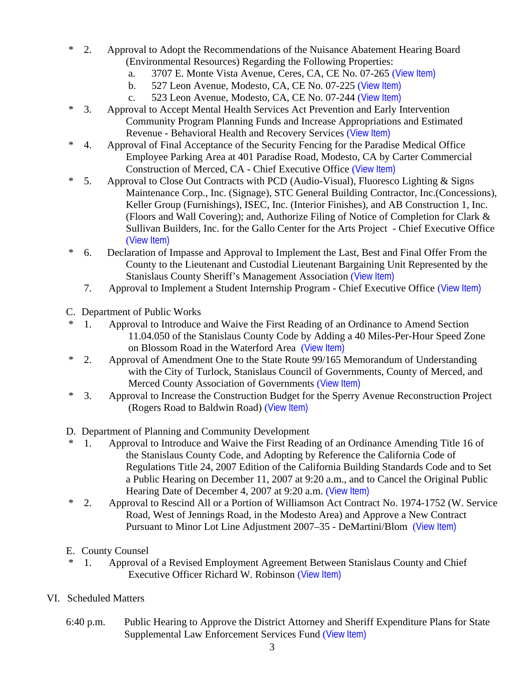- \* 2. Approval to Adopt the Recommendations of the Nuisance Abatement Hearing Board (Environmental Resources) Regarding the Following Properties:
	- a. 3707 E. Monte Vista Avenue, Ceres, CA, CE No. 07-265 ([View Item\)](http://www.stancounty.com/bos/agenda/2007/20071120/B02a.pdf)
	- b. 527 Leon Avenue, Modesto, CA, CE No. 07-225 ([View Item\)](http://www.stancounty.com/bos/agenda/2007/20071120/B02b.pdf)
	- c. 523 Leon Avenue, Modesto, CA, CE No. 07-244 ([View Item\)](http://www.stancounty.com/bos/agenda/2007/20071120/B02c.pdf)
- \* 3. Approval to Accept Mental Health Services Act Prevention and Early Intervention Community Program Planning Funds and Increase Appropriations and Estimated Revenue - Behavioral Health and Recovery Services ([View Item\)](http://www.stancounty.com/bos/agenda/2007/20071120/B03.pdf)
- \* 4. Approval of Final Acceptance of the Security Fencing for the Paradise Medical Office Employee Parking Area at 401 Paradise Road, Modesto, CA by Carter Commercial Construction of Merced, CA - Chief Executive Office ([View Item\)](http://www.stancounty.com/bos/agenda/2007/20071120/B04.pdf)
- \* 5. Approval to Close Out Contracts with PCD (Audio-Visual), Fluoresco Lighting & Signs Maintenance Corp., Inc. (Signage), STC General Building Contractor, Inc.(Concessions), Keller Group (Furnishings), ISEC, Inc. (Interior Finishes), and AB Construction 1, Inc. (Floors and Wall Covering); and, Authorize Filing of Notice of Completion for Clark & Sullivan Builders, Inc. for the Gallo Center for the Arts Project - Chief Executive Office ([View Item\)](http://www.stancounty.com/bos/agenda/2007/20071120/B05.pdf)
- \* 6. Declaration of Impasse and Approval to Implement the Last, Best and Final Offer From the County to the Lieutenant and Custodial Lieutenant Bargaining Unit Represented by the Stanislaus County Sheriff's Management Association ([View Item\)](http://www.stancounty.com/bos/agenda/2007/20071120/B06.pdf)
	- 7. Approval to Implement a Student Internship Program Chief Executive Office ([View Item\)](http://www.stancounty.com/bos/agenda/2007/20071120/B07.pdf)
- C. Department of Public Works
- \* 1. Approval to Introduce and Waive the First Reading of an Ordinance to Amend Section 11.04.050 of the Stanislaus County Code by Adding a 40 Miles-Per-Hour Speed Zone on Blossom Road in the Waterford Area ([View Item\)](http://www.stancounty.com/bos/agenda/2007/20071120/C01.pdf)
- \* 2. Approval of Amendment One to the State Route 99/165 Memorandum of Understanding with the City of Turlock, Stanislaus Council of Governments, County of Merced, and Merced County Association of Governments ([View Item\)](http://www.stancounty.com/bos/agenda/2007/20071120/C02.pdf)
- \* 3. Approval to Increase the Construction Budget for the Sperry Avenue Reconstruction Project (Rogers Road to Baldwin Road) ([View Item\)](http://www.stancounty.com/bos/agenda/2007/20071120/C03.pdf)
- D. Department of Planning and Community Development
- \* 1. Approval to Introduce and Waive the First Reading of an Ordinance Amending Title 16 of the Stanislaus County Code, and Adopting by Reference the California Code of Regulations Title 24, 2007 Edition of the California Building Standards Code and to Set a Public Hearing on December 11, 2007 at 9:20 a.m., and to Cancel the Original Public Hearing Date of December 4, 2007 at 9:20 a.m. ([View Item\)](http://www.stancounty.com/bos/agenda/2007/20071120/D01.pdf)
- \* 2. Approval to Rescind All or a Portion of Williamson Act Contract No. 1974-1752 (W. Service Road, West of Jennings Road, in the Modesto Area) and Approve a New Contract Pursuant to Minor Lot Line Adjustment 2007–35 - DeMartini/Blom ([View Item\)](http://www.stancounty.com/bos/agenda/2007/20071120/D02.pdf)
- E. County Counsel
- \* 1. Approval of a Revised Employment Agreement Between Stanislaus County and Chief Executive Officer Richard W. Robinson ([View Item\)](http://www.stancounty.com/bos/agenda/2007/20071120/E01.pdf)
- VI. Scheduled Matters
	- 6:40 p.m. Public Hearing to Approve the District Attorney and Sheriff Expenditure Plans for State Supplemental Law Enforcement Services Fund ([View Item\)](http://www.stancounty.com/bos/agenda/2007/20071120/PH640.pdf)